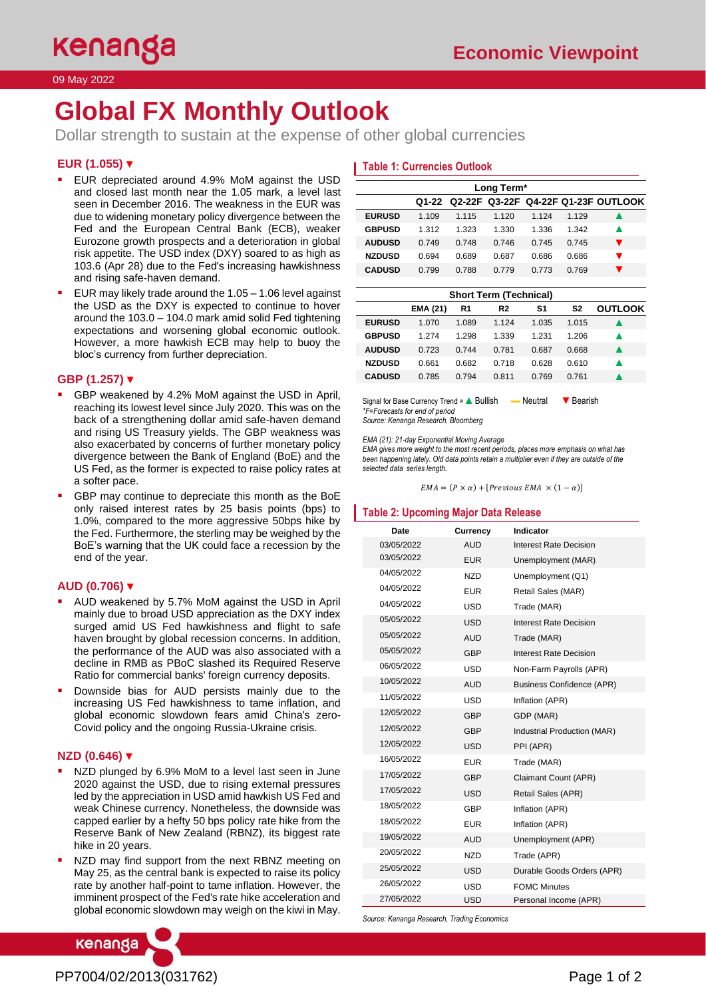# **Global FX Monthly Outlook**

Dollar strength to sustain at the expense of other global currencies

# **EUR (1.055)** ▼

- EUR depreciated around 4.9% MoM against the USD and closed last month near the 1.05 mark, a level last seen in December 2016. The weakness in the EUR was due to widening monetary policy divergence between the Fed and the European Central Bank (ECB), weaker Eurozone growth prospects and a deterioration in global risk appetite. The USD index (DXY) soared to as high as 103.6 (Apr 28) due to the Fed's increasing hawkishness and rising safe-haven demand.
- EUR may likely trade around the  $1.05 1.06$  level against the USD as the DXY is expected to continue to hover around the 103.0 – 104.0 mark amid solid Fed tightening expectations and worsening global economic outlook. However, a more hawkish ECB may help to buoy the bloc's currency from further depreciation.

## **GBP (1.257)** ▼

- GBP weakened by 4.2% MoM against the USD in April, reaching its lowest level since July 2020. This was on the back of a strengthening dollar amid safe-haven demand and rising US Treasury yields. The GBP weakness was also exacerbated by concerns of further monetary policy divergence between the Bank of England (BoE) and the US Fed, as the former is expected to raise policy rates at a softer pace.
- GBP may continue to depreciate this month as the BoE only raised interest rates by 25 basis points (bps) to 1.0%, compared to the more aggressive 50bps hike by the Fed. Furthermore, the sterling may be weighed by the BoE's warning that the UK could face a recession by the end of the year.

#### **AUD (0.706)** ▼

- AUD weakened by 5.7% MoM against the USD in April mainly due to broad USD appreciation as the DXY index surged amid US Fed hawkishness and flight to safe haven brought by global recession concerns. In addition, the performance of the AUD was also associated with a decline in RMB as PBoC slashed its Required Reserve Ratio for commercial banks' foreign currency deposits.
- Downside bias for AUD persists mainly due to the increasing US Fed hawkishness to tame inflation, and global economic slowdown fears amid China's zero-Covid policy and the ongoing Russia-Ukraine crisis.

## **NZD (0.646)** ▼

- NZD plunged by 6.9% MoM to a level last seen in June 2020 against the USD, due to rising external pressures led by the appreciation in USD amid hawkish US Fed and weak Chinese currency. Nonetheless, the downside was capped earlier by a hefty 50 bps policy rate hike from the Reserve Bank of New Zealand (RBNZ), its biggest rate hike in 20 years.
- NZD may find support from the next RBNZ meeting on May 25, as the central bank is expected to raise its policy rate by another half-point to tame inflation. However, the imminent prospect of the Fed's rate hike acceleration and global economic slowdown may weigh on the kiwi in May.

# **Table 1: Currencies Outlook**

| Long Term*    |       |       |       |         |         |                                           |
|---------------|-------|-------|-------|---------|---------|-------------------------------------------|
|               |       |       |       |         |         | Q1-22 Q2-22F Q3-22F Q4-22F Q1-23F OUTLOOK |
| <b>EURUSD</b> | 1.109 | 1.115 | 1.120 | 1 1 2 4 | 1 1 2 9 |                                           |
| <b>GBPUSD</b> | 1.312 | 1.323 | 1.330 | 1.336   | 1.342   | ▴                                         |
| <b>AUDUSD</b> | 0.749 | 0.748 | 0.746 | 0.745   | 0.745   |                                           |
| <b>NZDUSD</b> | 0.694 | 0.689 | 0.687 | 0.686   | 0.686   |                                           |
| <b>CADUSD</b> | 0.799 | 0.788 | 0.779 | 0.773   | 0.769   |                                           |

| <b>Short Term (Technical)</b> |                 |       |         |       |                |                |
|-------------------------------|-----------------|-------|---------|-------|----------------|----------------|
|                               | <b>EMA (21)</b> | R1    | R2      | S1    | S <sub>2</sub> | <b>OUTLOOK</b> |
| <b>EURUSD</b>                 | 1.070           | 1.089 | 1 1 2 4 | 1.035 | 1.015          |                |
| <b>GBPUSD</b>                 | 1 274           | 1 298 | 1.339   | 1 231 | 1.206          |                |
| <b>AUDUSD</b>                 | 0.723           | 0 744 | 0.781   | 0.687 | 0.668          |                |
| <b>NZDUSD</b>                 | 0.661           | 0.682 | 0.718   | 0.628 | 0.610          |                |
| <b>CADUSD</b>                 | 0.785           | 0.794 | 0.811   | 0.769 | 0.761          |                |

Signal for Base Currency Trend = ▲ Bullish – Neutral V Bearish *\*F=Forecasts for end of period Source: Kenanga Research, Bloomberg*

*EMA (21): 21-day Exponential Moving Average*

*EMA gives more weight to the most recent periods, places more emphasis on what has been happening lately. Old data points retain a multiplier even if they are outside of the selected data series length.*

 $EMA = (P \times \alpha) + [Previous EMA \times (1 - \alpha)]$ 

#### **Table 2: Upcoming Major Data Release**

| Date       | Currency   | Indicator                        |  |
|------------|------------|----------------------------------|--|
| 03/05/2022 | <b>AUD</b> | Interest Rate Decision           |  |
| 03/05/2022 | <b>EUR</b> | Unemployment (MAR)               |  |
| 04/05/2022 | <b>NZD</b> | Unemployment (Q1)                |  |
| 04/05/2022 | <b>EUR</b> | Retail Sales (MAR)               |  |
| 04/05/2022 | USD        | Trade (MAR)                      |  |
| 05/05/2022 | <b>USD</b> | Interest Rate Decision           |  |
| 05/05/2022 | <b>AUD</b> | Trade (MAR)                      |  |
| 05/05/2022 | <b>GBP</b> | Interest Rate Decision           |  |
| 06/05/2022 | <b>USD</b> | Non-Farm Payrolls (APR)          |  |
| 10/05/2022 | <b>AUD</b> | <b>Business Confidence (APR)</b> |  |
| 11/05/2022 | <b>USD</b> | Inflation (APR)                  |  |
| 12/05/2022 | <b>GBP</b> | GDP (MAR)                        |  |
| 12/05/2022 | <b>GBP</b> | Industrial Production (MAR)      |  |
| 12/05/2022 | <b>USD</b> | PPI (APR)                        |  |
| 16/05/2022 | <b>EUR</b> | Trade (MAR)                      |  |
| 17/05/2022 | <b>GBP</b> | Claimant Count (APR)             |  |
| 17/05/2022 | <b>USD</b> | Retail Sales (APR)               |  |
| 18/05/2022 | GBP        | Inflation (APR)                  |  |
| 18/05/2022 | <b>EUR</b> | Inflation (APR)                  |  |
| 19/05/2022 | <b>AUD</b> | Unemployment (APR)               |  |
| 20/05/2022 | <b>NZD</b> | Trade (APR)                      |  |
| 25/05/2022 | <b>USD</b> | Durable Goods Orders (APR)       |  |
| 26/05/2022 | <b>USD</b> | <b>FOMC Minutes</b>              |  |
| 27/05/2022 | <b>USD</b> | Personal Income (APR)            |  |

*Source: Kenanga Research, Trading Economics*

kenanga